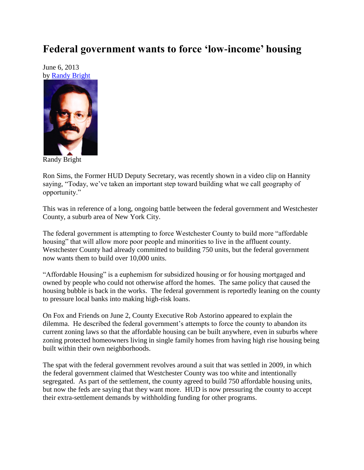## **Federal government wants to force 'low-income' housing**

June 6, 2013 by [Randy Bright](http://tulsabeacon.com/writers/randy-bright/)



Randy Bright

Ron Sims, the Former HUD Deputy Secretary, was recently shown in a video clip on Hannity saying, "Today, we've taken an important step toward building what we call geography of opportunity."

This was in reference of a long, ongoing battle between the federal government and Westchester County, a suburb area of New York City.

The federal government is attempting to force Westchester County to build more "affordable housing" that will allow more poor people and minorities to live in the affluent county. Westchester County had already committed to building 750 units, but the federal government now wants them to build over 10,000 units.

"Affordable Housing" is a euphemism for subsidized housing or for housing mortgaged and owned by people who could not otherwise afford the homes. The same policy that caused the housing bubble is back in the works. The federal government is reportedly leaning on the county to pressure local banks into making high-risk loans.

On Fox and Friends on June 2, County Executive Rob Astorino appeared to explain the dilemma. He described the federal government's attempts to force the county to abandon its current zoning laws so that the affordable housing can be built anywhere, even in suburbs where zoning protected homeowners living in single family homes from having high rise housing being built within their own neighborhoods.

The spat with the federal government revolves around a suit that was settled in 2009, in which the federal government claimed that Westchester County was too white and intentionally segregated. As part of the settlement, the county agreed to build 750 affordable housing units, but now the feds are saying that they want more. HUD is now pressuring the county to accept their extra-settlement demands by withholding funding for other programs.